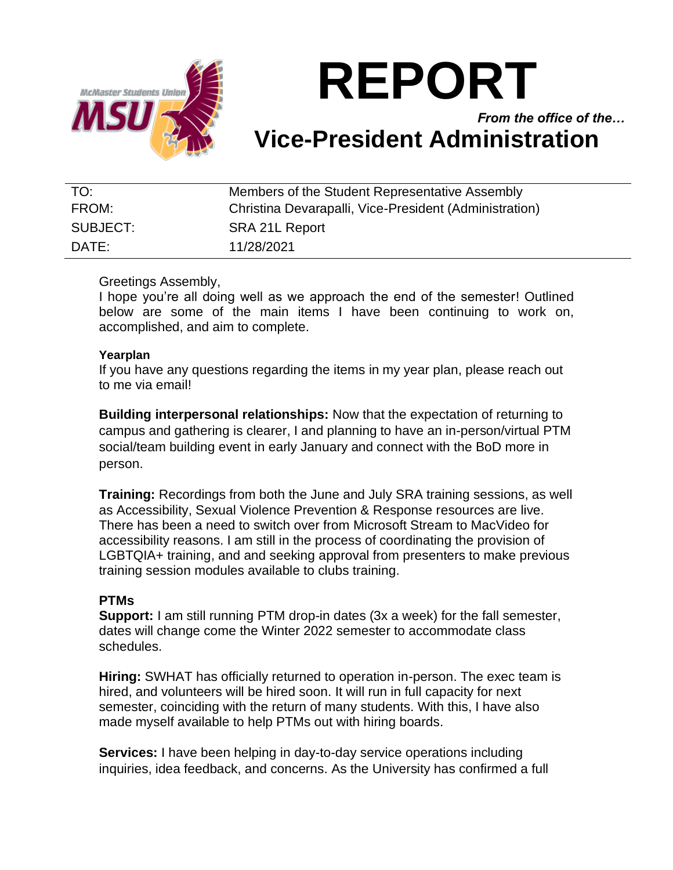

# **REPORT**

*From the office of the…* **Vice-President Administration**

| TO:      | Members of the Student Representative Assembly         |
|----------|--------------------------------------------------------|
| FROM:    | Christina Devarapalli, Vice-President (Administration) |
| SUBJECT: | SRA 21L Report                                         |
| DATE:    | 11/28/2021                                             |

## Greetings Assembly,

I hope you're all doing well as we approach the end of the semester! Outlined below are some of the main items I have been continuing to work on, accomplished, and aim to complete.

#### **Yearplan**

If you have any questions regarding the items in my year plan, please reach out to me via email!

**Building interpersonal relationships:** Now that the expectation of returning to campus and gathering is clearer, I and planning to have an in-person/virtual PTM social/team building event in early January and connect with the BoD more in person.

**Training:** Recordings from both the June and July SRA training sessions, as well as Accessibility, Sexual Violence Prevention & Response resources are live. There has been a need to switch over from Microsoft Stream to MacVideo for accessibility reasons. I am still in the process of coordinating the provision of LGBTQIA+ training, and and seeking approval from presenters to make previous training session modules available to clubs training.

### **PTMs**

**Support:** I am still running PTM drop-in dates (3x a week) for the fall semester, dates will change come the Winter 2022 semester to accommodate class schedules.

**Hiring:** SWHAT has officially returned to operation in-person. The exec team is hired, and volunteers will be hired soon. It will run in full capacity for next semester, coinciding with the return of many students. With this, I have also made myself available to help PTMs out with hiring boards.

**Services:** I have been helping in day-to-day service operations including inquiries, idea feedback, and concerns. As the University has confirmed a full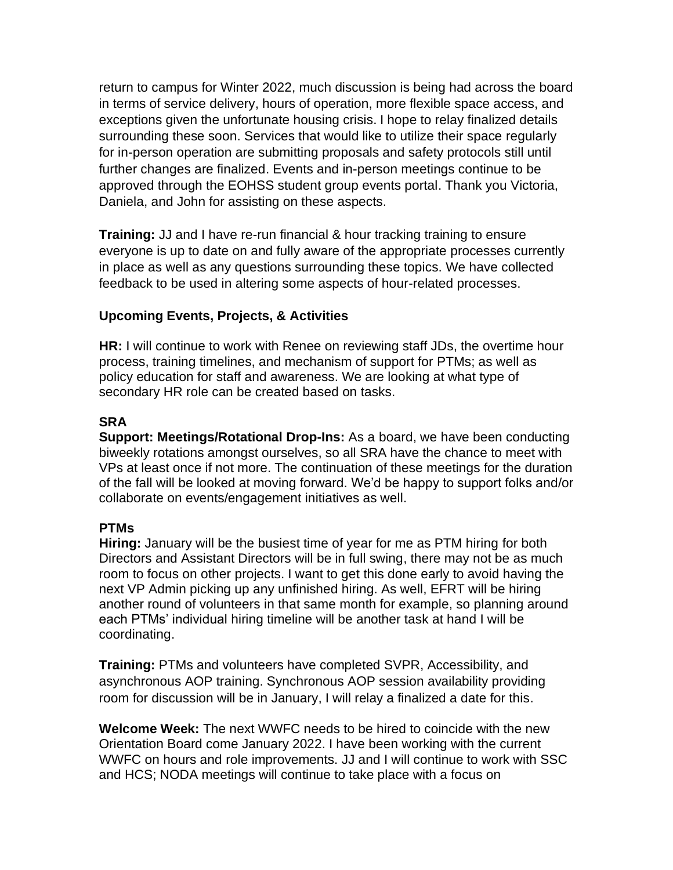return to campus for Winter 2022, much discussion is being had across the board in terms of service delivery, hours of operation, more flexible space access, and exceptions given the unfortunate housing crisis. I hope to relay finalized details surrounding these soon. Services that would like to utilize their space regularly for in-person operation are submitting proposals and safety protocols still until further changes are finalized. Events and in-person meetings continue to be approved through the EOHSS student group events portal. Thank you Victoria, Daniela, and John for assisting on these aspects.

**Training:** JJ and I have re-run financial & hour tracking training to ensure everyone is up to date on and fully aware of the appropriate processes currently in place as well as any questions surrounding these topics. We have collected feedback to be used in altering some aspects of hour-related processes.

## **Upcoming Events, Projects, & Activities**

**HR:** I will continue to work with Renee on reviewing staff JDs, the overtime hour process, training timelines, and mechanism of support for PTMs; as well as policy education for staff and awareness. We are looking at what type of secondary HR role can be created based on tasks.

## **SRA**

**Support: Meetings/Rotational Drop-Ins:** As a board, we have been conducting biweekly rotations amongst ourselves, so all SRA have the chance to meet with VPs at least once if not more. The continuation of these meetings for the duration of the fall will be looked at moving forward. We'd be happy to support folks and/or collaborate on events/engagement initiatives as well.

### **PTMs**

**Hiring:** January will be the busiest time of year for me as PTM hiring for both Directors and Assistant Directors will be in full swing, there may not be as much room to focus on other projects. I want to get this done early to avoid having the next VP Admin picking up any unfinished hiring. As well, EFRT will be hiring another round of volunteers in that same month for example, so planning around each PTMs' individual hiring timeline will be another task at hand I will be coordinating.

**Training:** PTMs and volunteers have completed SVPR, Accessibility, and asynchronous AOP training. Synchronous AOP session availability providing room for discussion will be in January, I will relay a finalized a date for this.

**Welcome Week:** The next WWFC needs to be hired to coincide with the new Orientation Board come January 2022. I have been working with the current WWFC on hours and role improvements. JJ and I will continue to work with SSC and HCS; NODA meetings will continue to take place with a focus on